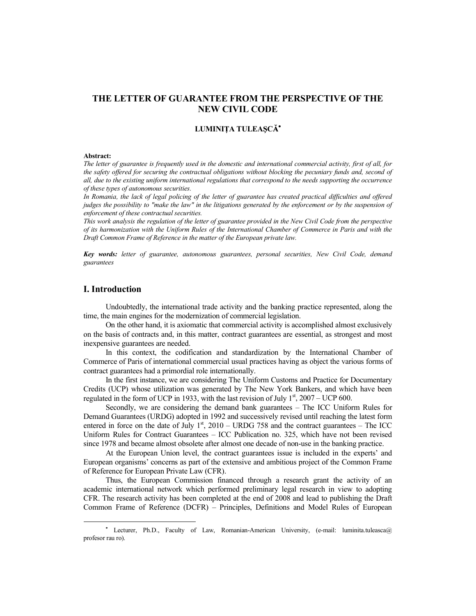# **THE LETTER OF GUARANTEE FROM THE PERSPECTIVE OF THE NEW CIVIL CODE**

## **LUMINIȚA TULEAȘCĂ\***

#### **Abstract:**

*The letter of guarantee is frequently used in the domestic and international commercial activity, first of all, for the safety offered for securing the contractual obligations without blocking the pecuniary funds and, second of all, due to the existing uniform international regulations that correspond to the needs supporting the occurrence of these types of autonomous securities.*

In Romania, the lack of legal policing of the letter of guarantee has created practical difficulties and offered *judges the possibility to "make the law" in the litigations generated by the enforcement or by the suspension of enforcement of these contractual securities.* 

*This work analysis the regulation of the letter of guarantee provided in the New Civil Code from the perspective of its harmonization with the Uniform Rules of the International Chamber of Commerce in Paris and with the Draft Common Frame of Reference in the matter of the European private law.* 

*Key words: letter of guarantee, autonomous guarantees, personal securities, New Civil Code, demand guarantees* 

## **I. Introduction**

Undoubtedly, the international trade activity and the banking practice represented, along the time, the main engines for the modernization of commercial legislation.

On the other hand, it is axiomatic that commercial activity is accomplished almost exclusively on the basis of contracts and, in this matter, contract guarantees are essential, as strongest and most inexpensive guarantees are needed.

In this context, the codification and standardization by the International Chamber of Commerce of Paris of international commercial usual practices having as object the various forms of contract guarantees had a primordial role internationally.

In the first instance, we are considering The Uniform Customs and Practice for Documentary Credits (UCP) whose utilization was generated by The New York Bankers, and which have been regulated in the form of UCP in 1933, with the last revision of July  $1<sup>st</sup>$ , 2007 – UCP 600.

Secondly, we are considering the demand bank guarantees – The ICC Uniform Rules for Demand Guarantees (URDG) adopted in 1992 and successively revised until reaching the latest form entered in force on the date of July  $1<sup>st</sup>$ , 2010 – URDG 758 and the contract guarantees – The ICC Uniform Rules for Contract Guarantees – ICC Publication no. 325, which have not been revised since 1978 and became almost obsolete after almost one decade of non-use in the banking practice.

At the European Union level, the contract guarantees issue is included in the experts' and European organisms' concerns as part of the extensive and ambitious project of the Common Frame of Reference for European Private Law (CFR).

Thus, the European Commission financed through a research grant the activity of an academic international network which performed preliminary legal research in view to adopting CFR. The research activity has been completed at the end of 2008 and lead to publishing the Draft Common Frame of Reference (DCFR) – Principles, Definitions and Model Rules of European

Lecturer, Ph.D., Faculty of Law, Romanian-American University, (e-mail: luminita.tuleasca@ profesor rau ro).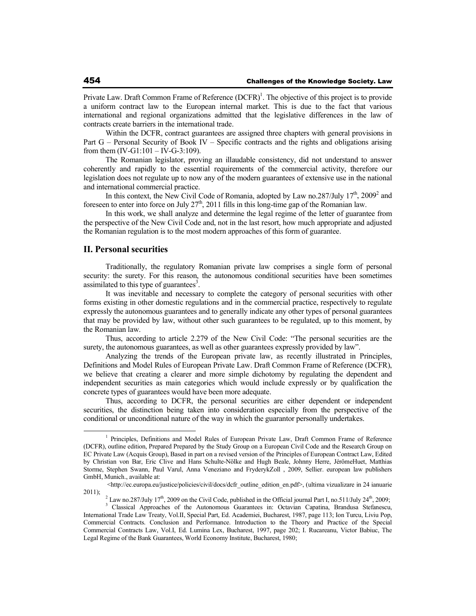Private Law. Draft Common Frame of Reference (DCFR)<sup>1</sup>. The objective of this project is to provide a uniform contract law to the European internal market. This is due to the fact that various international and regional organizations admitted that the legislative differences in the law of contracts create barriers in the international trade.

Within the DCFR, contract guarantees are assigned three chapters with general provisions in Part G – Personal Security of Book IV – Specific contracts and the rights and obligations arising from them  $(IV-G1:101 - IV-G-3:109)$ .

The Romanian legislator, proving an illaudable consistency, did not understand to answer coherently and rapidly to the essential requirements of the commercial activity, therefore our legislation does not regulate up to now any of the modern guarantees of extensive use in the national and international commercial practice.

In this context, the New Civil Code of Romania, adopted by Law no.287/July  $17<sup>th</sup>$ , 2009<sup>2</sup> and foreseen to enter into force on July  $27<sup>th</sup>$ , 2011 fills in this long-time gap of the Romanian law.

In this work, we shall analyze and determine the legal regime of the letter of guarantee from the perspective of the New Civil Code and, not in the last resort, how much appropriate and adjusted the Romanian regulation is to the most modern approaches of this form of guarantee.

## **II. Personal securities**

Traditionally, the regulatory Romanian private law comprises a single form of personal security: the surety. For this reason, the autonomous conditional securities have been sometimes assimilated to this type of guarantees<sup>3</sup>.

It was inevitable and necessary to complete the category of personal securities with other forms existing in other domestic regulations and in the commercial practice, respectively to regulate expressly the autonomous guarantees and to generally indicate any other types of personal guarantees that may be provided by law, without other such guarantees to be regulated, up to this moment, by the Romanian law.

Thus, according to article 2.279 of the New Civil Code: "The personal securities are the surety, the autonomous guarantees, as well as other guarantees expressly provided by law".

Analyzing the trends of the European private law, as recently illustrated in Principles, Definitions and Model Rules of European Private Law. Draft Common Frame of Reference (DCFR), we believe that creating a clearer and more simple dichotomy by regulating the dependent and independent securities as main categories which would include expressly or by qualification the concrete types of guarantees would have been more adequate.

Thus, according to DCFR, the personal securities are either dependent or independent securities, the distinction being taken into consideration especially from the perspective of the conditional or unconditional nature of the way in which the guarantor personally undertakes.

<sup>&</sup>lt;sup>1</sup> Principles, Definitions and Model Rules of European Private Law, Draft Common Frame of Reference (DCFR), outline edition, Prepared Prepared by the Study Group on a European Civil Code and the Research Group on EC Private Law (Acquis Group), Based in part on a revised version of the Principles of European Contract Law, Edited by Christian von Bar, Eric Clive and Hans Schulte-Nölke and Hugh Beale, Johnny Herre, JérômeHuet, Matthias Storme, Stephen Swann, Paul Varul, Anna Veneziano and FryderykZoll , 2009, Sellier. european law publishers GmbH, Munich., available at:

<sup>&</sup>lt;http://ec.europa.eu/justice/policies/civil/docs/dcfr\_outline\_edition\_en.pdf>, (ultima vizualizare in 24 ianuarie  $2011$ ;

<sup>&</sup>lt;sup>2</sup> Law no.287/July 17<sup>th</sup>, 2009 on the Civil Code, published in the Official journal Part I, no.511/July 24<sup>th</sup>, 2009;

<sup>&</sup>lt;sup>3</sup> Classical Approaches of the Autonomous Guarantees in: Octavian Capatina, Brandusa Stefanescu, International Trade Law Treaty, Vol.II, Special Part, Ed. Academiei, Bucharest, 1987, page 113; Ion Turcu, Liviu Pop, Commercial Contracts. Conclusion and Performance. Introduction to the Theory and Practice of the Special Commercial Contracts Law, Vol.I, Ed. Lumina Lex, Bucharest, 1997, page 202; I. Rucareanu, Victor Babiuc, The Legal Regime of the Bank Guarantees, World Economy Institute, Bucharest, 1980;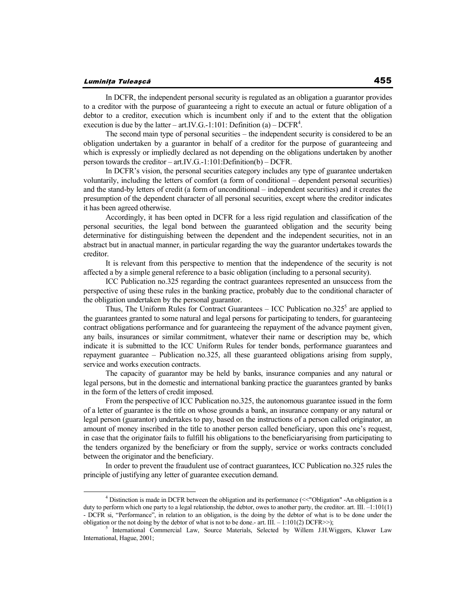#### Luminița Tuleașcă

In DCFR, the independent personal security is regulated as an obligation a guarantor provides to a creditor with the purpose of guaranteeing a right to execute an actual or future obligation of a debtor to a creditor, execution which is incumbent only if and to the extent that the obligation execution is due by the latter – art.IV.G.-1:101: Definition (a) – DCFR<sup>4</sup>.

The second main type of personal securities – the independent security is considered to be an obligation undertaken by a guarantor in behalf of a creditor for the purpose of guaranteeing and which is expressly or impliedly declared as not depending on the obligations undertaken by another person towards the creditor – art.IV.G.-1:101:Definition(b) – DCFR.

In DCFR's vision, the personal securities category includes any type of guarantee undertaken voluntarily, including the letters of comfort (a form of conditional – dependent personal securities) and the stand-by letters of credit (a form of unconditional – independent securities) and it creates the presumption of the dependent character of all personal securities, except where the creditor indicates it has been agreed otherwise.

Accordingly, it has been opted in DCFR for a less rigid regulation and classification of the personal securities, the legal bond between the guaranteed obligation and the security being determinative for distinguishing between the dependent and the independent securities, not in an abstract but in anactual manner, in particular regarding the way the guarantor undertakes towards the creditor.

It is relevant from this perspective to mention that the independence of the security is not affected a by a simple general reference to a basic obligation (including to a personal security).

ICC Publication no.325 regarding the contract guarantees represented an unsuccess from the perspective of using these rules in the banking practice, probably due to the conditional character of the obligation undertaken by the personal guarantor.

Thus, The Uniform Rules for Contract Guarantees  $-$  ICC Publication no.325<sup>5</sup> are applied to the guarantees granted to some natural and legal persons for participating to tenders, for guaranteeing contract obligations performance and for guaranteeing the repayment of the advance payment given, any bails, insurances or similar commitment, whatever their name or description may be, which indicate it is submitted to the ICC Uniform Rules for tender bonds, performance guarantees and repayment guarantee – Publication no.325, all these guaranteed obligations arising from supply, service and works execution contracts.

The capacity of guarantor may be held by banks, insurance companies and any natural or legal persons, but in the domestic and international banking practice the guarantees granted by banks in the form of the letters of credit imposed.

From the perspective of ICC Publication no.325, the autonomous guarantee issued in the form of a letter of guarantee is the title on whose grounds a bank, an insurance company or any natural or legal person (guarantor) undertakes to pay, based on the instructions of a person called originator, an amount of money inscribed in the title to another person called beneficiary, upon this one's request, in case that the originator fails to fulfill his obligations to the beneficiaryarising from participating to the tenders organized by the beneficiary or from the supply, service or works contracts concluded between the originator and the beneficiary.

In order to prevent the fraudulent use of contract guarantees, ICC Publication no.325 rules the principle of justifying any letter of guarantee execution demand.

<sup>&</sup>lt;sup>4</sup> Distinction is made in DCFR between the obligation and its performance (<<"Obligation" -An obligation is a duty to perform which one party to a legal relationship, the debtor, owes to another party, the creditor. art. III.  $-1:101(1)$ - DCFR si, "Performance", in relation to an obligation, is the doing by the debtor of what is to be done under the obligation or the not doing by the debtor of what is not to be done.- art. III. – 1:101(2) DCFR>>);

<sup>5</sup> International Commercial Law, Source Materials, Selected by Willem J.H.Wiggers, Kluwer Law International, Hague, 2001;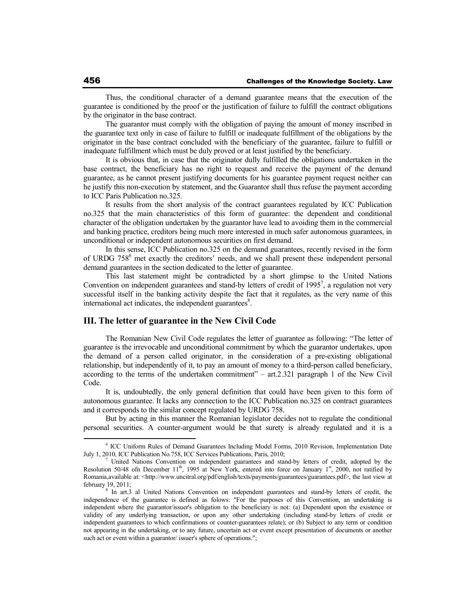Thus, the conditional character of a demand guarantee means that the execution of the guarantee is conditioned by the proof or the justification of failure to fulfill the contract obligations by the originator in the base contract.

The guarantor must comply with the obligation of paying the amount of money inscribed in the guarantee text only in case of failure to fulfill or inadequate fulfillment of the obligations by the originator in the base contract concluded with the beneficiary of the guarantee, failure to fulfill or inadequate fulfillment which must be duly proved or at least justified by the beneficiary.

It is obvious that, in case that the originator dully fulfilled the obligations undertaken in the base contract, the beneficiary has no right to request and receive the payment of the demand guarantee, as he cannot present justifying documents for his guarantee payment request neither can he justify this non-execution by statement, and the Guarantor shall thus refuse the payment according to ICC Paris Publication no.325.

It results from the short analysis of the contract guarantees regulated by ICC Publication no.325 that the main characteristics of this form of guarantee: the dependent and conditional character of the obligation undertaken by the guarantor have lead to avoiding them in the commercial and banking practice, creditors being much more interested in much safer autonomous guarantees, in unconditional or independent autonomous securities on first demand.

In this sense, ICC Publication no.325 on the demand guarantees, recently revised in the form of URDG 758<sup>6</sup> met exactly the creditors' needs, and we shall present these independent personal demand guarantees in the section dedicated to the letter of guarantee.

This last statement might be contradicted by a short glimpse to the United Nations Convention on independent guarantees and stand-by letters of credit of  $1995^7$ , a regulation not very successful itself in the banking activity despite the fact that it regulates, as the very name of this international act indicates, the independent guarantees 8 .

## **III. The letter of guarantee in the New Civil Code**

The Romanian New Civil Code regulates the letter of guarantee as following: "The letter of guarantee is the irrevocable and unconditional commitment by which the guarantor undertakes, upon the demand of a person called originator, in the consideration of a pre-existing obligational relationship, but independently of it, to pay an amount of money to a third-person called beneficiary, according to the terms of the undertaken commitment" – art.2.321 paragraph 1 of the New Civil Code.

It is, undoubtedly, the only general definition that could have been given to this form of autonomous guarantee. It lacks any connection to the ICC Publication no.325 on contract guarantees and it corresponds to the similar concept regulated by URDG 758.

But by acting in this manner the Romanian legislator decides not to regulate the conditional personal securities. A counter-argument would be that surety is already regulated and it is a

<sup>6</sup> ICC Uniform Rules of Demand Guarantees Including Model Forms, 2010 Revision, Implementation Date July 1, 2010, ICC Publication No.758, ICC Services Publications, Paris, 2010;

<sup>7</sup> United Nations Convention on independent guarantees and stand-by letters of credit, adopted by the Resolution 50/48 ofn December  $11<sup>th</sup>$ , 1995 at New York, entered into force on January  $1<sup>st</sup>$ , 2000, not ratified by Romania,available at: <http://www.uncitral.org/pdf/english/texts/payments/guarantees/guarantees.pdf>, the last view at february 19, 2011;

<sup>&</sup>lt;sup>8</sup> In art.3 al United Nations Convention on independent guarantees and stand-by letters of credit, the independence of the guarantee is defined as folows: "For the purposes of this Convention, an undertaking is independent where the guarantor/issuer's obligation to the beneficiary is not: (a) Dependent upon the existence or validity of any underlying transaction, or upon any other undertaking (including stand-by letters of credit or independent guarantees to which confirmations or counter-guarantees relate); or (b) Subject to any term or condition not appearing in the undertaking, or to any future, uncertain act or event except presentation of documents or another such act or event within a guarantor/ issuer's sphere of operations.";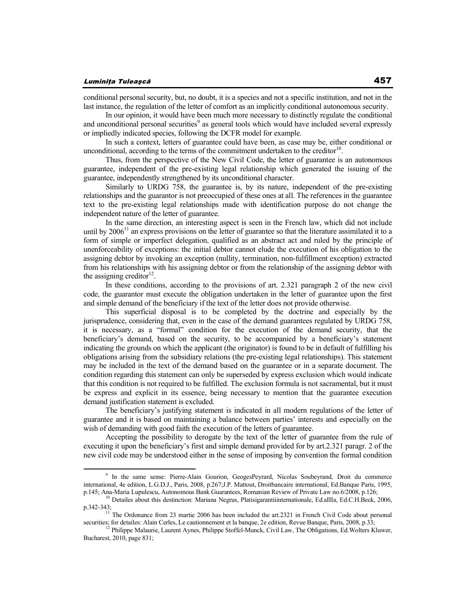conditional personal security, but, no doubt, it is a species and not a specific institution, and not in the last instance, the regulation of the letter of comfort as an implicitly conditional autonomous security.

In our opinion, it would have been much more necessary to distinctly regulate the conditional and unconditional personal securities<sup>9</sup> as general tools which would have included several expressly or impliedly indicated species, following the DCFR model for example.

In such a context, letters of guarantee could have been, as case may be, either conditional or unconditional, according to the terms of the commitment undertaken to the creditor<sup>10</sup>.

Thus, from the perspective of the New Civil Code, the letter of guarantee is an autonomous guarantee, independent of the pre-existing legal relationship which generated the issuing of the guarantee, independently strengthened by its unconditional character.

Similarly to URDG 758, the guarantee is, by its nature, independent of the pre-existing relationships and the guarantor is not preoccupied of these ones at all. The references in the guarantee text to the pre-existing legal relationships made with identification purpose do not change the independent nature of the letter of guarantee.

In the same direction, an interesting aspect is seen in the French law, which did not include until by  $2006<sup>11</sup>$  an express provisions on the letter of guarantee so that the literature assimilated it to a form of simple or imperfect delegation, qualified as an abstract act and ruled by the principle of unenforceability of exceptions: the initial debtor cannot elude the execution of his obligation to the assigning debtor by invoking an exception (nullity, termination, non-fulfillment exception) extracted from his relationships with his assigning debtor or from the relationship of the assigning debtor with the assigning creditor $12$ .

In these conditions, according to the provisions of art. 2.321 paragraph 2 of the new civil code, the guarantor must execute the obligation undertaken in the letter of guarantee upon the first and simple demand of the beneficiary if the text of the letter does not provide otherwise.

This superficial disposal is to be completed by the doctrine and especially by the jurisprudence, considering that, even in the case of the demand guarantees regulated by URDG 758, it is necessary, as a "formal" condition for the execution of the demand security, that the beneficiary's demand, based on the security, to be accompanied by a beneficiary's statement indicating the grounds on which the applicant (the originator) is found to be in default of fulfilling his obligations arising from the subsidiary relations (the pre-existing legal relationships). This statement may be included in the text of the demand based on the guarantee or in a separate document. The condition regarding this statement can only be superseded by express exclusion which would indicate that this condition is not required to be fulfilled. The exclusion formula is not sacramental, but it must be express and explicit in its essence, being necessary to mention that the guarantee execution demand justification statement is excluded.

The beneficiary's justifying statement is indicated in all modern regulations of the letter of guarantee and it is based on maintaining a balance between parties' interests and especially on the wish of demanding with good faith the execution of the letters of guarantee.

Accepting the possibility to derogate by the text of the letter of guarantee from the rule of executing it upon the beneficiary's first and simple demand provided for by art.2.321 paragr. 2 of the new civil code may be understood either in the sense of imposing by convention the formal condition

<sup>&</sup>lt;sup>9</sup> In the same sense: Pierre-Alain Gourion, GeogesPeyrard, Nicolas Soubeyrand, Droit du commerce international, 4e edition, L.G.D.J., Paris, 2008, p.267;J.P. Mattout, Droitbancaire international, Ed.Banque Paris, 1995, p.145; Ana-Maria Lupulescu, Autonomous Bank Guarantees, Romanian Review of Private Law no.6/2008, p.126;

<sup>&</sup>lt;sup>10</sup> Detailes about this destinction: Mariana Negrus, Platisigarantiiinternationale, Ed.aIIIa, Ed.C.H.Beck, 2006, p.342-343;

<sup>&</sup>lt;sup>11</sup> The Ordonance from 23 martie 2006 has been included the art.2321 in French Civil Code about personal securities; for detailes: Alain Cerles, Le cautionnement et la banque, 2e edition, Revue Banque, Paris, 2008, p.33;<br><sup>12</sup> Philippe Malaurie, Laurent Aynes, Philippe Stoffel-Munck, Civil Law, The Obligations, Ed.Wolters Kluw

Bucharest, 2010, page 831;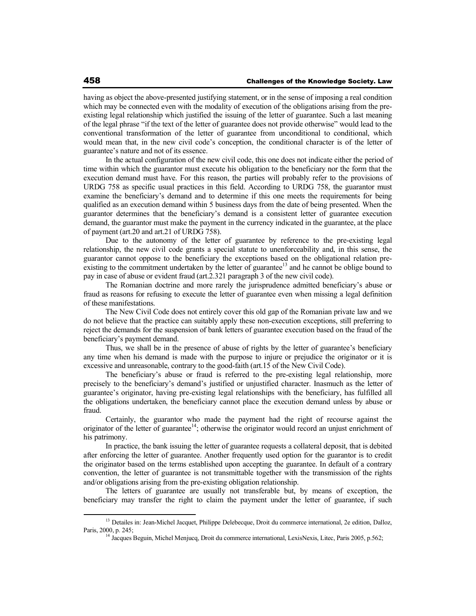having as object the above-presented justifying statement, or in the sense of imposing a real condition which may be connected even with the modality of execution of the obligations arising from the preexisting legal relationship which justified the issuing of the letter of guarantee. Such a last meaning of the legal phrase "if the text of the letter of guarantee does not provide otherwise" would lead to the conventional transformation of the letter of guarantee from unconditional to conditional, which would mean that, in the new civil code's conception, the conditional character is of the letter of guarantee's nature and not of its essence.

In the actual configuration of the new civil code, this one does not indicate either the period of time within which the guarantor must execute his obligation to the beneficiary nor the form that the execution demand must have. For this reason, the parties will probably refer to the provisions of URDG 758 as specific usual practices in this field. According to URDG 758, the guarantor must examine the beneficiary's demand and to determine if this one meets the requirements for being qualified as an execution demand within 5 business days from the date of being presented. When the guarantor determines that the beneficiary's demand is a consistent letter of guarantee execution demand, the guarantor must make the payment in the currency indicated in the guarantee, at the place of payment (art.20 and art.21 of URDG 758).

Due to the autonomy of the letter of guarantee by reference to the pre-existing legal relationship, the new civil code grants a special statute to unenforceability and, in this sense, the guarantor cannot oppose to the beneficiary the exceptions based on the obligational relation preexisting to the commitment undertaken by the letter of guarantee<sup>13</sup> and he cannot be oblige bound to pay in case of abuse or evident fraud (art.2.321 paragraph 3 of the new civil code).

The Romanian doctrine and more rarely the jurisprudence admitted beneficiary's abuse or fraud as reasons for refusing to execute the letter of guarantee even when missing a legal definition of these manifestations.

The New Civil Code does not entirely cover this old gap of the Romanian private law and we do not believe that the practice can suitably apply these non-execution exceptions, still preferring to reject the demands for the suspension of bank letters of guarantee execution based on the fraud of the beneficiary's payment demand.

Thus, we shall be in the presence of abuse of rights by the letter of guarantee's beneficiary any time when his demand is made with the purpose to injure or prejudice the originator or it is excessive and unreasonable, contrary to the good-faith (art.15 of the New Civil Code).

The beneficiary's abuse or fraud is referred to the pre-existing legal relationship, more precisely to the beneficiary's demand's justified or unjustified character. Inasmuch as the letter of guarantee's originator, having pre-existing legal relationships with the beneficiary, has fulfilled all the obligations undertaken, the beneficiary cannot place the execution demand unless by abuse or fraud.

Certainly, the guarantor who made the payment had the right of recourse against the originator of the letter of guarantee<sup>14</sup>; otherwise the originator would record an unjust enrichment of his patrimony.

In practice, the bank issuing the letter of guarantee requests a collateral deposit, that is debited after enforcing the letter of guarantee. Another frequently used option for the guarantor is to credit the originator based on the terms established upon accepting the guarantee. In default of a contrary convention, the letter of guarantee is not transmittable together with the transmission of the rights and/or obligations arising from the pre-existing obligation relationship.

The letters of guarantee are usually not transferable but, by means of exception, the beneficiary may transfer the right to claim the payment under the letter of guarantee, if such

<sup>&</sup>lt;sup>13</sup> Detailes in: Jean-Michel Jacquet, Philippe Delebecque, Droit du commerce international, 2e edition, Dalloz, Paris, 2000, p. 245;

<sup>&</sup>lt;sup>14</sup> Jacques Beguin, Michel Menjucq, Droit du commerce international, LexisNexis, Litec, Paris 2005, p.562;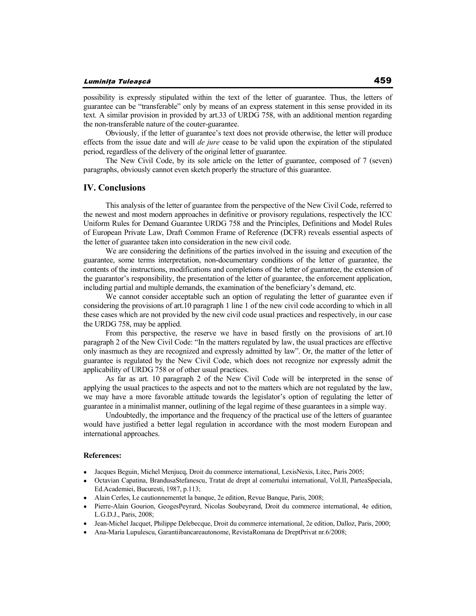possibility is expressly stipulated within the text of the letter of guarantee. Thus, the letters of guarantee can be "transferable" only by means of an express statement in this sense provided in its text. A similar provision in provided by art.33 of URDG 758, with an additional mention regarding the non-transferable nature of the couter-guarantee.

Obviously, if the letter of guarantee's text does not provide otherwise, the letter will produce effects from the issue date and will *de jure* cease to be valid upon the expiration of the stipulated period, regardless of the delivery of the original letter of guarantee.

The New Civil Code, by its sole article on the letter of guarantee, composed of 7 (seven) paragraphs, obviously cannot even sketch properly the structure of this guarantee.

## **IV. Conclusions**

This analysis of the letter of guarantee from the perspective of the New Civil Code, referred to the newest and most modern approaches in definitive or provisory regulations, respectively the ICC Uniform Rules for Demand Guarantee URDG 758 and the Principles, Definitions and Model Rules of European Private Law, Draft Common Frame of Reference (DCFR) reveals essential aspects of the letter of guarantee taken into consideration in the new civil code.

We are considering the definitions of the parties involved in the issuing and execution of the guarantee, some terms interpretation, non-documentary conditions of the letter of guarantee, the contents of the instructions, modifications and completions of the letter of guarantee, the extension of the guarantor's responsibility, the presentation of the letter of guarantee, the enforcement application, including partial and multiple demands, the examination of the beneficiary's demand, etc.

We cannot consider acceptable such an option of regulating the letter of guarantee even if considering the provisions of art.10 paragraph 1 line 1 of the new civil code according to which in all these cases which are not provided by the new civil code usual practices and respectively, in our case the URDG 758, may be applied.

From this perspective, the reserve we have in based firstly on the provisions of art.10 paragraph 2 of the New Civil Code: "In the matters regulated by law, the usual practices are effective only inasmuch as they are recognized and expressly admitted by law". Or, the matter of the letter of guarantee is regulated by the New Civil Code, which does not recognize nor expressly admit the applicability of URDG 758 or of other usual practices.

As far as art. 10 paragraph 2 of the New Civil Code will be interpreted in the sense of applying the usual practices to the aspects and not to the matters which are not regulated by the law, we may have a more favorable attitude towards the legislator's option of regulating the letter of guarantee in a minimalist manner, outlining of the legal regime of these guarantees in a simple way.

Undoubtedly, the importance and the frequency of the practical use of the letters of guarantee would have justified a better legal regulation in accordance with the most modern European and international approaches.

### **References:**

- Jacques Beguin, Michel Menjucq, Droit du commerce international, LexisNexis, Litec, Paris 2005;
- Octavian Capatina, BrandusaStefanescu, Tratat de drept al comertului international, Vol.II, ParteaSpeciala, Ed.Academiei, Bucuresti, 1987, p.113;
- Alain Cerles, Le cautionnementet la banque, 2e edition, Revue Banque, Paris, 2008;
- Pierre-Alain Gourion, GeogesPeyrard, Nicolas Soubeyrand, Droit du commerce international, 4e edition, L.G.D.J., Paris, 2008;
- Jean-Michel Jacquet, Philippe Delebecque, Droit du commerce international, 2e edition, Dalloz, Paris, 2000;
- Ana-Maria Lupulescu, Garantiibancareautonome, RevistaRomana de DreptPrivat nr.6/2008;